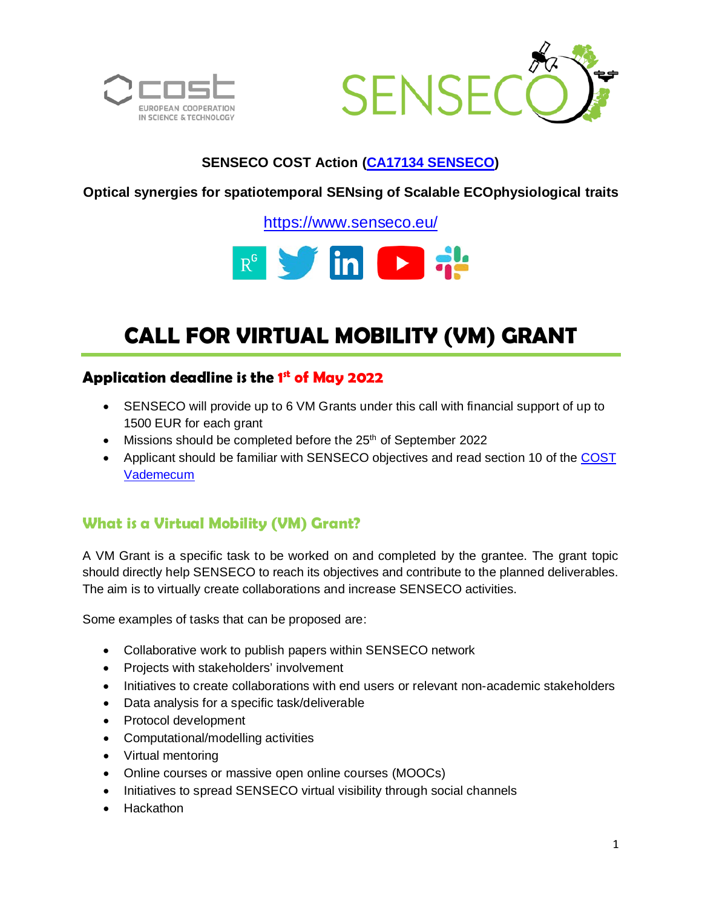



# **SENSECO COST Action (CA17134 [SENSECO\)](https://www.cost.eu/actions/CA17134/)**

**Optical synergies for spatiotemporal SENsing of Scalable ECOphysiological traits**

<https://www.senseco.eu/>



# **CALL FOR VIRTUAL MOBILITY (VM) GRANT**

# **Application deadline is the 1 st of May 2022**

- SENSECO will provide up to 6 VM Grants under this call with financial support of up to 1500 EUR for each grant
- $\bullet$  Missions should be completed before the 25<sup>th</sup> of September 2022
- Applicant should be familiar with SENSECO objectives and read section 10 of the [COST](https://www.cost.eu/uploads/2021/04/Vademecum-28-April-2021.pdf)  [Vademecum](https://www.cost.eu/uploads/2021/04/Vademecum-28-April-2021.pdf)

# **What is a Virtual Mobility (VM) Grant?**

A VM Grant is a specific task to be worked on and completed by the grantee. The grant topic should directly help SENSECO to reach its objectives and contribute to the planned deliverables. The aim is to virtually create collaborations and increase SENSECO activities.

Some examples of tasks that can be proposed are:

- Collaborative work to publish papers within SENSECO network
- Projects with stakeholders' involvement
- Initiatives to create collaborations with end users or relevant non-academic stakeholders
- Data analysis for a specific task/deliverable
- Protocol development
- Computational/modelling activities
- Virtual mentoring
- Online courses or massive open online courses (MOOCs)
- Initiatives to spread SENSECO virtual visibility through social channels
- Hackathon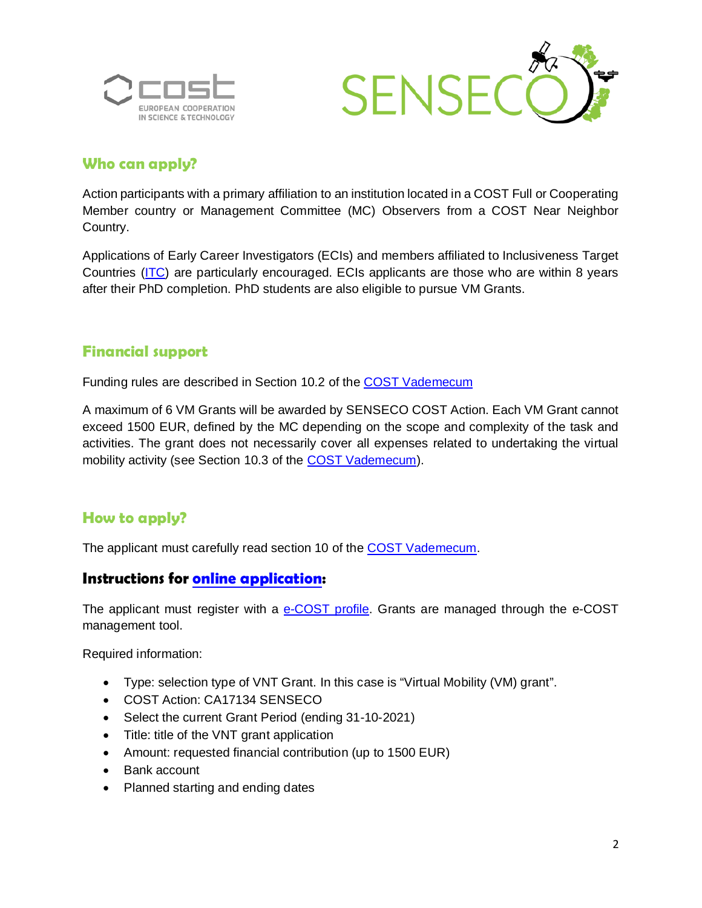



## **Who can apply?**

Action participants with a primary affiliation to an institution located in a COST Full or Cooperating Member country or Management Committee (MC) Observers from a COST Near Neighbor Country.

Applications of Early Career Investigators (ECIs) and members affiliated to Inclusiveness Target Countries [\(ITC\)](https://www.cost.eu/uploads/2021/03/ITC.pdf) are particularly encouraged. ECIs applicants are those who are within 8 years after their PhD completion. PhD students are also eligible to pursue VM Grants.

## **Financial support**

Funding rules are described in Section 10.2 of the [COST Vademecum](https://www.cost.eu/uploads/2021/04/Vademecum-28-April-2021.pdf)

A maximum of 6 VM Grants will be awarded by SENSECO COST Action. Each VM Grant cannot exceed 1500 EUR, defined by the MC depending on the scope and complexity of the task and activities. The grant does not necessarily cover all expenses related to undertaking the virtual mobility activity (see Section 10.3 of the [COST Vademecum\)](https://www.cost.eu/uploads/2021/04/Vademecum-28-April-2021.pdf).

# **How to apply?**

The applicant must carefully read section 10 of the [COST Vademecum.](https://www.cost.eu/uploads/2021/04/Vademecum-28-April-2021.pdf)

## **Instructions for [online application:](https://www.cost.eu/uploads/2021/04/VNT-userguide.pdf)**

The applicant must register with a [e-COST profile.](https://e-services.cost.eu/user/login) Grants are managed through the e-COST management tool.

Required information:

- Type: selection type of VNT Grant. In this case is "Virtual Mobility (VM) grant".
- COST Action: CA17134 SENSECO
- Select the current Grant Period (ending 31-10-2021)
- Title: title of the VNT grant application
- Amount: requested financial contribution (up to 1500 EUR)
- Bank account
- Planned starting and ending dates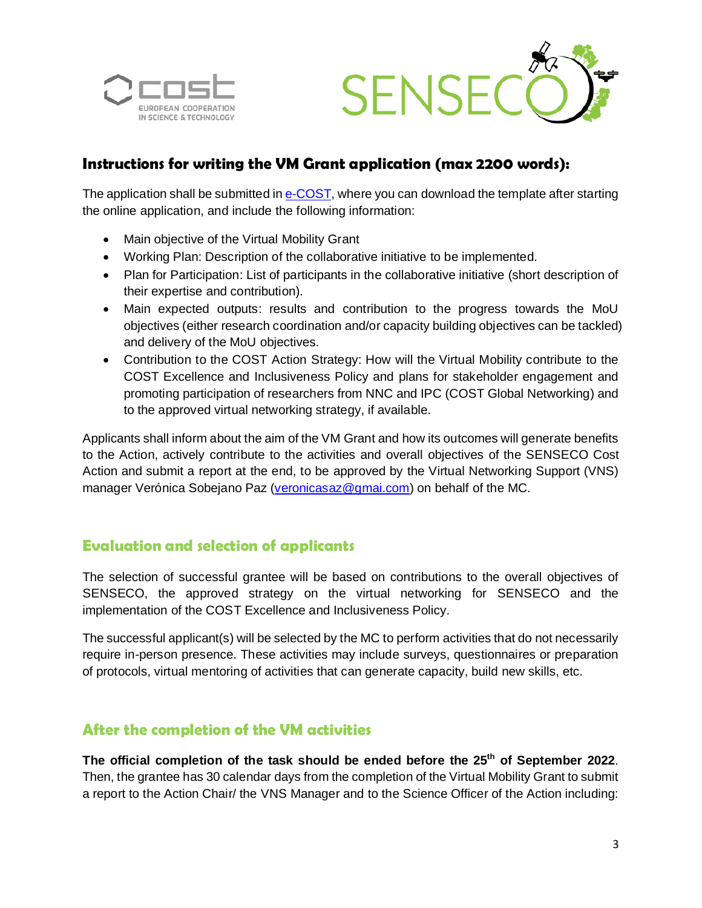



## **Instructions for writing the VM Grant application (max 2200 words):**

The application shall be submitted in [e-COST,](https://e-services.cost.eu/actions/) where you can download the template after starting the online application, and include the following information:

- Main objective of the Virtual Mobility Grant
- Working Plan: Description of the collaborative initiative to be implemented.
- Plan for Participation: List of participants in the collaborative initiative (short description of their expertise and contribution).
- Main expected outputs: results and contribution to the progress towards the MoU objectives (either research coordination and/or capacity building objectives can be tackled) and delivery of the MoU objectives.
- Contribution to the COST Action Strategy: How will the Virtual Mobility contribute to the COST Excellence and Inclusiveness Policy and plans for stakeholder engagement and promoting participation of researchers from NNC and IPC (COST Global Networking) and to the approved virtual networking strategy, if available.

Applicants shall inform about the aim of the VM Grant and how its outcomes will generate benefits to the Action, actively contribute to the activities and overall objectives of the SENSECO Cost Action and submit a report at the end, to be approved by the Virtual Networking Support (VNS) manager Verónica Sobejano Paz [\(veronicasaz@gmai.com\)](mailto:veronicasaz@gmai.com) on behalf of the MC.

## **Evaluation and selection of applicants**

The selection of successful grantee will be based on contributions to the overall objectives of SENSECO, the approved strategy on the virtual networking for SENSECO and the implementation of the COST Excellence and Inclusiveness Policy.

The successful applicant(s) will be selected by the MC to perform activities that do not necessarily require in-person presence. These activities may include surveys, questionnaires or preparation of protocols, virtual mentoring of activities that can generate capacity, build new skills, etc.

## **After the completion of the VM activities**

**The official completion of the task should be ended before the 25th of September 2022**. Then, the grantee has 30 calendar days from the completion of the Virtual Mobility Grant to submit a report to the Action Chair/ the VNS Manager and to the Science Officer of the Action including: